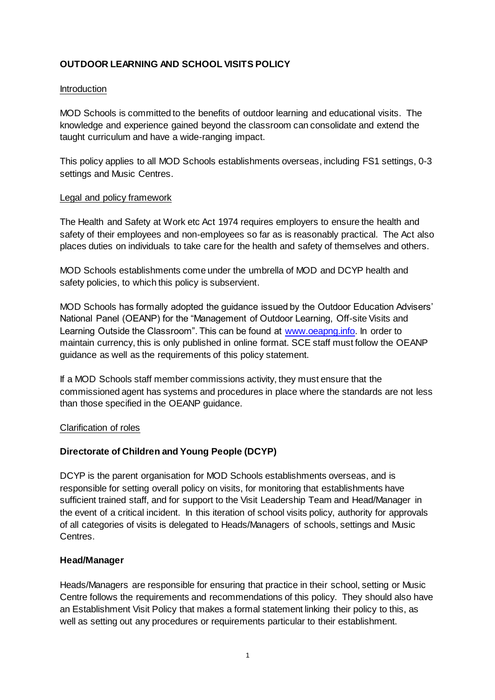# **OUTDOOR LEARNING AND SCHOOL VISITS POLICY**

#### **Introduction**

MOD Schools is committed to the benefits of outdoor learning and educational visits. The knowledge and experience gained beyond the classroom can consolidate and extend the taught curriculum and have a wide-ranging impact.

This policy applies to all MOD Schools establishments overseas, including FS1 settings, 0-3 settings and Music Centres.

#### Legal and policy framework

The Health and Safety at Work etc Act 1974 requires employers to ensure the health and safety of their employees and non-employees so far as is reasonably practical. The Act also places duties on individuals to take care for the health and safety of themselves and others.

MOD Schools establishments come under the umbrella of MOD and DCYP health and safety policies, to which this policy is subservient.

MOD Schools has formally adopted the guidance issued by the Outdoor Education Advisers' National Panel (OEANP) for the "Management of Outdoor Learning, Off-site Visits and Learning Outside the Classroom". This can be found at [www.oeapng.info.](http://www.oeapng.info/) In order to maintain currency, this is only published in online format. SCE staff must follow the OEANP guidance as well as the requirements of this policy statement.

If a MOD Schools staff member commissions activity, they must ensure that the commissioned agent has systems and procedures in place where the standards are not less than those specified in the OEANP guidance.

# Clarification of roles

# **Directorate of Children and Young People (DCYP)**

DCYP is the parent organisation for MOD Schools establishments overseas, and is responsible for setting overall policy on visits, for monitoring that establishments have sufficient trained staff, and for support to the Visit Leadership Team and Head/Manager in the event of a critical incident. In this iteration of school visits policy, authority for approvals of all categories of visits is delegated to Heads/Managers of schools, settings and Music Centres.

# **Head/Manager**

Heads/Managers are responsible for ensuring that practice in their school, setting or Music Centre follows the requirements and recommendations of this policy. They should also have an Establishment Visit Policy that makes a formal statement linking their policy to this, as well as setting out any procedures or requirements particular to their establishment.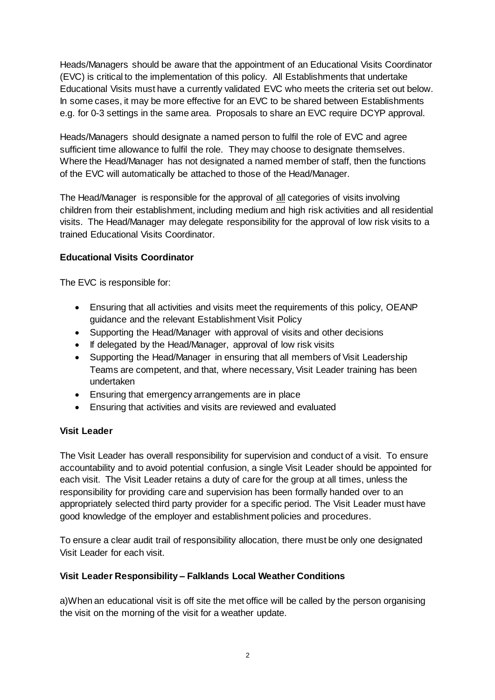Heads/Managers should be aware that the appointment of an Educational Visits Coordinator (EVC) is critical to the implementation of this policy. All Establishments that undertake Educational Visits must have a currently validated EVC who meets the criteria set out below. In some cases, it may be more effective for an EVC to be shared between Establishments e.g. for 0-3 settings in the same area. Proposals to share an EVC require DCYP approval.

Heads/Managers should designate a named person to fulfil the role of EVC and agree sufficient time allowance to fulfil the role. They may choose to designate themselves. Where the Head/Manager has not designated a named member of staff, then the functions of the EVC will automatically be attached to those of the Head/Manager.

The Head/Manager is responsible for the approval of all categories of visits involving children from their establishment, including medium and high risk activities and all residential visits. The Head/Manager may delegate responsibility for the approval of low risk visits to a trained Educational Visits Coordinator.

# **Educational Visits Coordinator**

The EVC is responsible for:

- Ensuring that all activities and visits meet the requirements of this policy, OEANP guidance and the relevant Establishment Visit Policy
- Supporting the Head/Manager with approval of visits and other decisions
- If delegated by the Head/Manager, approval of low risk visits
- Supporting the Head/Manager in ensuring that all members of Visit Leadership Teams are competent, and that, where necessary, Visit Leader training has been undertaken
- Ensuring that emergency arrangements are in place
- Ensuring that activities and visits are reviewed and evaluated

# **Visit Leader**

The Visit Leader has overall responsibility for supervision and conduct of a visit. To ensure accountability and to avoid potential confusion, a single Visit Leader should be appointed for each visit. The Visit Leader retains a duty of care for the group at all times, unless the responsibility for providing care and supervision has been formally handed over to an appropriately selected third party provider for a specific period. The Visit Leader must have good knowledge of the employer and establishment policies and procedures.

To ensure a clear audit trail of responsibility allocation, there must be only one designated Visit Leader for each visit.

# **Visit Leader Responsibility – Falklands Local Weather Conditions**

a)When an educational visit is off site the met office will be called by the person organising the visit on the morning of the visit for a weather update.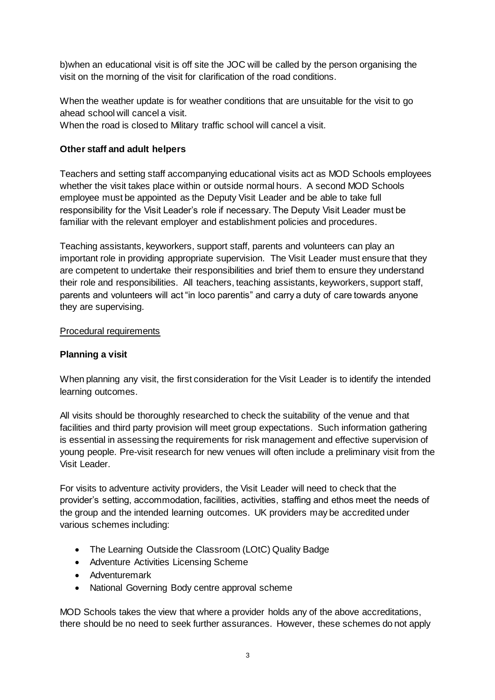b)when an educational visit is off site the JOC will be called by the person organising the visit on the morning of the visit for clarification of the road conditions.

When the weather update is for weather conditions that are unsuitable for the visit to go ahead school will cancel a visit. When the road is closed to Military traffic school will cancel a visit.

### **Other staff and adult helpers**

Teachers and setting staff accompanying educational visits act as MOD Schools employees whether the visit takes place within or outside normal hours. A second MOD Schools employee must be appointed as the Deputy Visit Leader and be able to take full responsibility for the Visit Leader's role if necessary. The Deputy Visit Leader must be familiar with the relevant employer and establishment policies and procedures.

Teaching assistants, keyworkers, support staff, parents and volunteers can play an important role in providing appropriate supervision. The Visit Leader must ensure that they are competent to undertake their responsibilities and brief them to ensure they understand their role and responsibilities. All teachers, teaching assistants, keyworkers, support staff, parents and volunteers will act "in loco parentis" and carry a duty of care towards anyone they are supervising.

#### Procedural requirements

#### **Planning a visit**

When planning any visit, the first consideration for the Visit Leader is to identify the intended learning outcomes.

All visits should be thoroughly researched to check the suitability of the venue and that facilities and third party provision will meet group expectations. Such information gathering is essential in assessing the requirements for risk management and effective supervision of young people. Pre-visit research for new venues will often include a preliminary visit from the Visit Leader.

For visits to adventure activity providers, the Visit Leader will need to check that the provider's setting, accommodation, facilities, activities, staffing and ethos meet the needs of the group and the intended learning outcomes. UK providers may be accredited under various schemes including:

- The Learning Outside the Classroom (LOtC) Quality Badge
- Adventure Activities Licensing Scheme
- Adventuremark
- National Governing Body centre approval scheme

MOD Schools takes the view that where a provider holds any of the above accreditations, there should be no need to seek further assurances. However, these schemes do not apply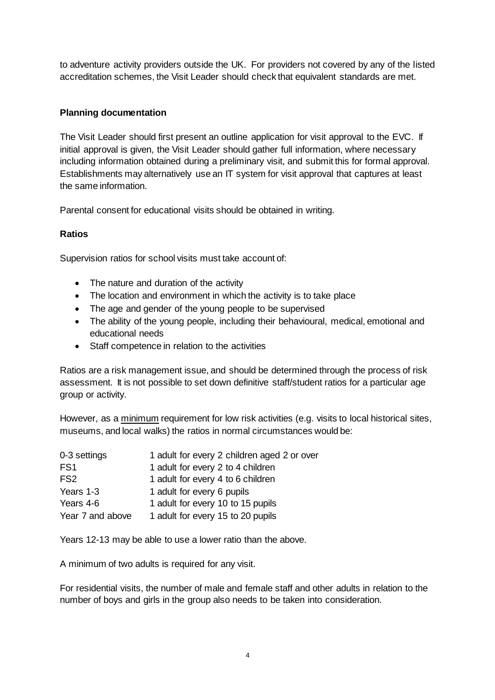to adventure activity providers outside the UK. For providers not covered by any of the listed accreditation schemes, the Visit Leader should check that equivalent standards are met.

# **Planning documentation**

The Visit Leader should first present an outline application for visit approval to the EVC. If initial approval is given, the Visit Leader should gather full information, where necessary including information obtained during a preliminary visit, and submit this for formal approval. Establishments may alternatively use an IT system for visit approval that captures at least the same information.

Parental consent for educational visits should be obtained in writing.

### **Ratios**

Supervision ratios for school visits must take account of:

- The nature and duration of the activity
- The location and environment in which the activity is to take place
- The age and gender of the young people to be supervised
- The ability of the young people, including their behavioural, medical, emotional and educational needs
- Staff competence in relation to the activities

Ratios are a risk management issue, and should be determined through the process of risk assessment. It is not possible to set down definitive staff/student ratios for a particular age group or activity.

However, as a minimum requirement for low risk activities (e.g. visits to local historical sites, museums, and local walks) the ratios in normal circumstances would be:

| 0-3 settings     | 1 adult for every 2 children aged 2 or over |
|------------------|---------------------------------------------|
| FS <sub>1</sub>  | 1 adult for every 2 to 4 children           |
| FS <sub>2</sub>  | 1 adult for every 4 to 6 children           |
| Years 1-3        | 1 adult for every 6 pupils                  |
| Years 4-6        | 1 adult for every 10 to 15 pupils           |
| Year 7 and above | 1 adult for every 15 to 20 pupils           |

Years 12-13 may be able to use a lower ratio than the above.

A minimum of two adults is required for any visit.

For residential visits, the number of male and female staff and other adults in relation to the number of boys and girls in the group also needs to be taken into consideration.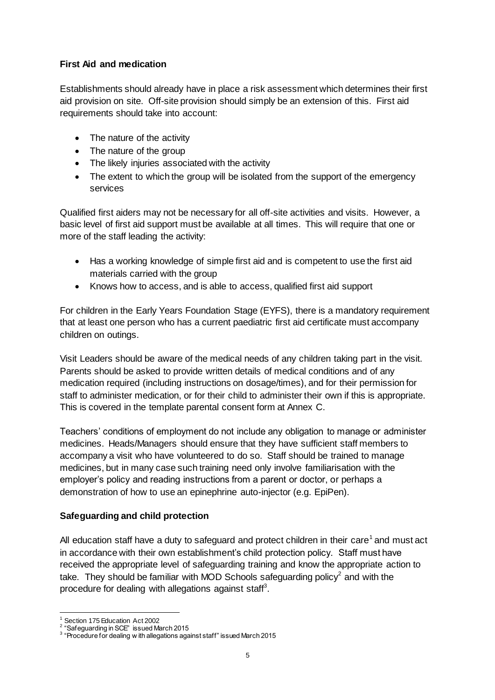# **First Aid and medication**

Establishments should already have in place a risk assessment which determines their first aid provision on site. Off-site provision should simply be an extension of this. First aid requirements should take into account:

- The nature of the activity
- The nature of the group
- The likely injuries associated with the activity
- The extent to which the group will be isolated from the support of the emergency services

Qualified first aiders may not be necessary for all off-site activities and visits. However, a basic level of first aid support must be available at all times. This will require that one or more of the staff leading the activity:

- Has a working knowledge of simple first aid and is competent to use the first aid materials carried with the group
- Knows how to access, and is able to access, qualified first aid support

For children in the Early Years Foundation Stage (EYFS), there is a mandatory requirement that at least one person who has a current paediatric first aid certificate must accompany children on outings.

Visit Leaders should be aware of the medical needs of any children taking part in the visit. Parents should be asked to provide written details of medical conditions and of any medication required (including instructions on dosage/times), and for their permission for staff to administer medication, or for their child to administer their own if this is appropriate. This is covered in the template parental consent form at Annex C.

Teachers' conditions of employment do not include any obligation to manage or administer medicines. Heads/Managers should ensure that they have sufficient staff members to accompany a visit who have volunteered to do so. Staff should be trained to manage medicines, but in many case such training need only involve familiarisation with the employer's policy and reading instructions from a parent or doctor, or perhaps a demonstration of how to use an epinephrine auto-injector (e.g. EpiPen).

# **Safeguarding and child protection**

All education staff have a duty to safeguard and protect children in their care<sup>1</sup> and must act in accordance with their own establishment's child protection policy. Staff must have received the appropriate level of safeguarding training and know the appropriate action to take. They should be familiar with MOD Schools safeguarding policy<sup>2</sup> and with the procedure for dealing with allegations against staff<sup>3</sup>.

 $\overline{a}$ Section 175 Education Act 2002

<sup>&</sup>lt;sup>2</sup> "Safeguarding in SCE" issued March 2015

 $3$  "Procedure for dealing w ith allegations against staff" issued March 2015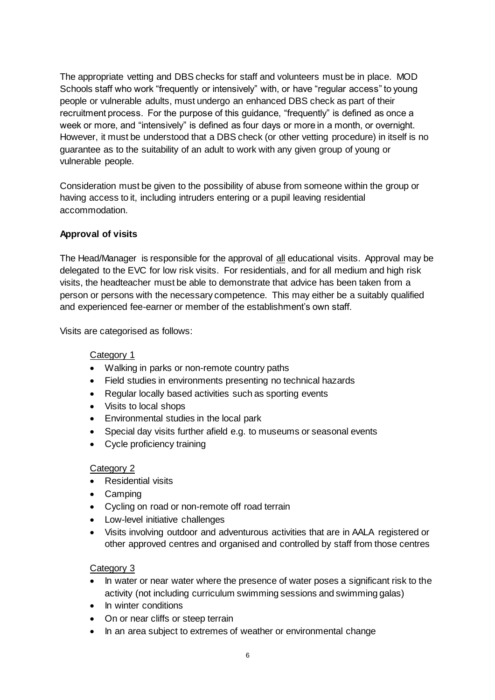The appropriate vetting and DBS checks for staff and volunteers must be in place. MOD Schools staff who work "frequently or intensively" with, or have "regular access" to young people or vulnerable adults, must undergo an enhanced DBS check as part of their recruitment process. For the purpose of this guidance, "frequently" is defined as once a week or more, and "intensively" is defined as four days or more in a month, or overnight. However, it must be understood that a DBS check (or other vetting procedure) in itself is no guarantee as to the suitability of an adult to work with any given group of young or vulnerable people.

Consideration must be given to the possibility of abuse from someone within the group or having access to it, including intruders entering or a pupil leaving residential accommodation.

# **Approval of visits**

The Head/Manager is responsible for the approval of all educational visits. Approval may be delegated to the EVC for low risk visits. For residentials, and for all medium and high risk visits, the headteacher must be able to demonstrate that advice has been taken from a person or persons with the necessary competence. This may either be a suitably qualified and experienced fee-earner or member of the establishment's own staff.

Visits are categorised as follows:

### Category 1

- Walking in parks or non-remote country paths
- Field studies in environments presenting no technical hazards
- Regular locally based activities such as sporting events
- Visits to local shops
- Environmental studies in the local park
- Special day visits further afield e.g. to museums or seasonal events
- Cycle proficiency training

#### Category 2

- Residential visits
- Camping
- Cycling on road or non-remote off road terrain
- Low-level initiative challenges
- Visits involving outdoor and adventurous activities that are in AALA registered or other approved centres and organised and controlled by staff from those centres

#### Category 3

- In water or near water where the presence of water poses a significant risk to the activity (not including curriculum swimming sessions and swimming galas)
- In winter conditions
- On or near cliffs or steep terrain
- In an area subject to extremes of weather or environmental change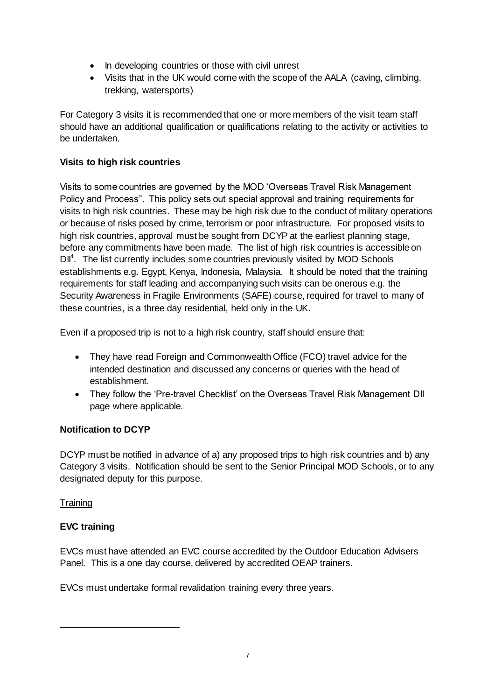- In developing countries or those with civil unrest
- Visits that in the UK would come with the scope of the AALA (caving, climbing, trekking, watersports)

For Category 3 visits it is recommended that one or more members of the visit team staff should have an additional qualification or qualifications relating to the activity or activities to be undertaken.

# **Visits to high risk countries**

Visits to some countries are governed by the MOD 'Overseas Travel Risk Management Policy and Process". This policy sets out special approval and training requirements for visits to high risk countries. These may be high risk due to the conduct of military operations or because of risks posed by crime, terrorism or poor infrastructure. For proposed visits to high risk countries, approval must be sought from DCYP at the earliest planning stage, before any commitments have been made. The list of high risk countries is accessible on DII<sup>4</sup>. The list currently includes some countries previously visited by MOD Schools establishments e.g. Egypt, Kenya, Indonesia, Malaysia. It should be noted that the training requirements for staff leading and accompanying such visits can be onerous e.g. the Security Awareness in Fragile Environments (SAFE) course, required for travel to many of these countries, is a three day residential, held only in the UK.

Even if a proposed trip is not to a high risk country, staff should ensure that:

- They have read Foreign and Commonwealth Office (FCO) travel advice for the intended destination and discussed any concerns or queries with the head of establishment.
- They follow the 'Pre-travel Checklist' on the Overseas Travel Risk Management DII page where applicable.

# **Notification to DCYP**

DCYP must be notified in advance of a) any proposed trips to high risk countries and b) any Category 3 visits. Notification should be sent to the Senior Principal MOD Schools, or to any designated deputy for this purpose.

# **Training**

 $\overline{a}$ 

# **EVC training**

EVCs must have attended an EVC course accredited by the Outdoor Education Advisers Panel. This is a one day course, delivered by accredited OEAP trainers.

EVCs must undertake formal revalidation training every three years.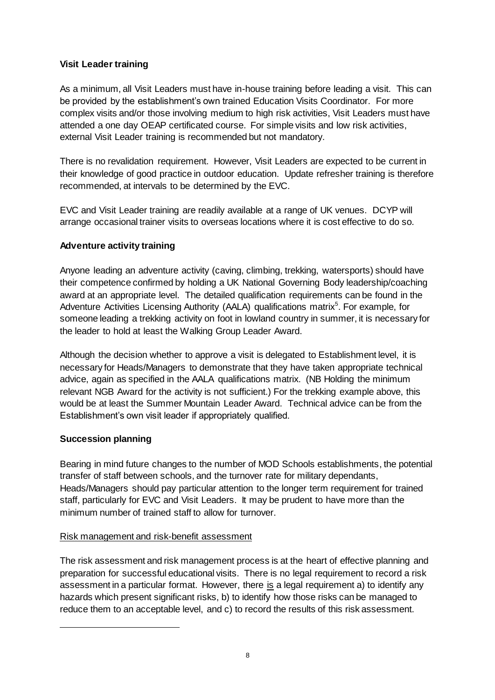# **Visit Leader training**

As a minimum, all Visit Leaders must have in-house training before leading a visit. This can be provided by the establishment's own trained Education Visits Coordinator. For more complex visits and/or those involving medium to high risk activities, Visit Leaders must have attended a one day OEAP certificated course. For simple visits and low risk activities, external Visit Leader training is recommended but not mandatory.

There is no revalidation requirement. However, Visit Leaders are expected to be current in their knowledge of good practice in outdoor education. Update refresher training is therefore recommended, at intervals to be determined by the EVC.

EVC and Visit Leader training are readily available at a range of UK venues. DCYP will arrange occasional trainer visits to overseas locations where it is cost effective to do so.

# **Adventure activity training**

Anyone leading an adventure activity (caving, climbing, trekking, watersports) should have their competence confirmed by holding a UK National Governing Body leadership/coaching award at an appropriate level. The detailed qualification requirements can be found in the Adventure Activities Licensing Authority (AALA) qualifications matrix<sup>5</sup>. For example, for someone leading a trekking activity on foot in lowland country in summer, it is necessary for the leader to hold at least the Walking Group Leader Award.

Although the decision whether to approve a visit is delegated to Establishment level, it is necessary for Heads/Managers to demonstrate that they have taken appropriate technical advice, again as specified in the AALA qualifications matrix. (NB Holding the minimum relevant NGB Award for the activity is not sufficient.) For the trekking example above, this would be at least the Summer Mountain Leader Award. Technical advice can be from the Establishment's own visit leader if appropriately qualified.

# **Succession planning**

 $\overline{a}$ 

Bearing in mind future changes to the number of MOD Schools establishments, the potential transfer of staff between schools, and the turnover rate for military dependants, Heads/Managers should pay particular attention to the longer term requirement for trained staff, particularly for EVC and Visit Leaders. It may be prudent to have more than the minimum number of trained staff to allow for turnover.

# Risk management and risk-benefit assessment

The risk assessment and risk management process is at the heart of effective planning and preparation for successful educational visits. There is no legal requirement to record a risk assessment in a particular format. However, there is a legal requirement a) to identify any hazards which present significant risks, b) to identify how those risks can be managed to reduce them to an acceptable level, and c) to record the results of this risk assessment.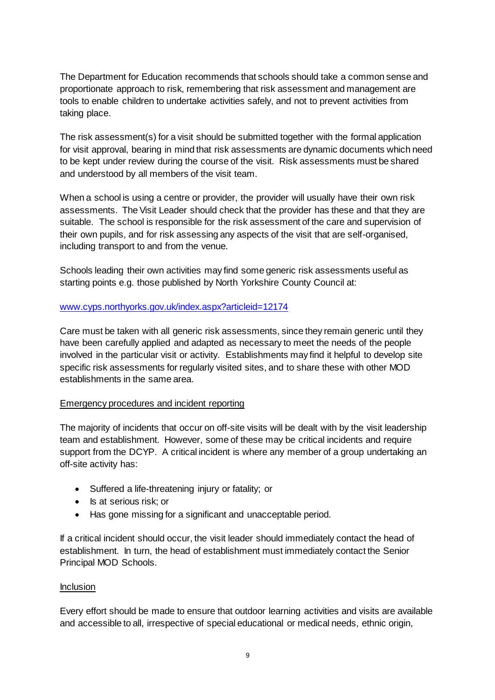The Department for Education recommends that schools should take a common sense and proportionate approach to risk, remembering that risk assessment and management are tools to enable children to undertake activities safely, and not to prevent activities from taking place.

The risk assessment(s) for a visit should be submitted together with the formal application for visit approval, bearing in mind that risk assessments are dynamic documents which need to be kept under review during the course of the visit. Risk assessments must be shared and understood by all members of the visit team.

When a school is using a centre or provider, the provider will usually have their own risk assessments. The Visit Leader should check that the provider has these and that they are suitable. The school is responsible for the risk assessment of the care and supervision of their own pupils, and for risk assessing any aspects of the visit that are self-organised, including transport to and from the venue.

Schools leading their own activities may find some generic risk assessments useful as starting points e.g. those published by North Yorkshire County Council at:

#### [www.cyps.northyorks.gov.uk/index.aspx?articleid=12174](http://www.cyps.northyorks.gov.uk/index.aspx?articleid=12174)

Care must be taken with all generic risk assessments, since they remain generic until they have been carefully applied and adapted as necessary to meet the needs of the people involved in the particular visit or activity. Establishments may find it helpful to develop site specific risk assessments for regularly visited sites, and to share these with other MOD establishments in the same area.

#### Emergency procedures and incident reporting

The majority of incidents that occur on off-site visits will be dealt with by the visit leadership team and establishment. However, some of these may be critical incidents and require support from the DCYP. A critical incident is where any member of a group undertaking an off-site activity has:

- Suffered a life-threatening injury or fatality; or
- Is at serious risk; or
- Has gone missing for a significant and unacceptable period.

If a critical incident should occur, the visit leader should immediately contact the head of establishment. In turn, the head of establishment must immediately contact the Senior Principal MOD Schools.

#### Inclusion

Every effort should be made to ensure that outdoor learning activities and visits are available and accessible to all, irrespective of special educational or medical needs, ethnic origin,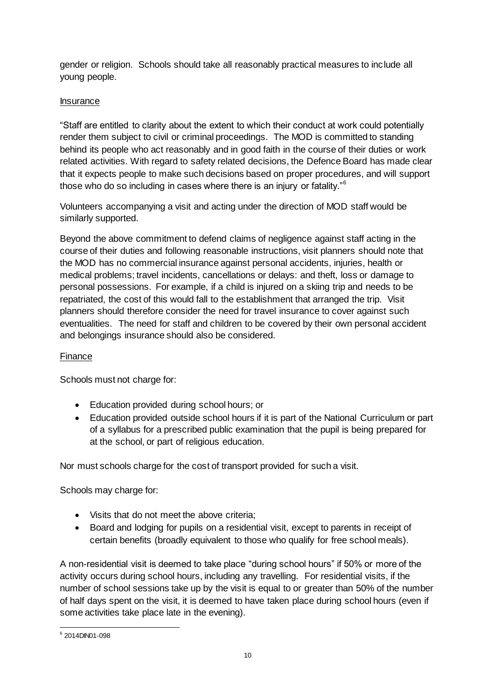gender or religion. Schools should take all reasonably practical measures to include all young people.

# Insurance

"Staff are entitled to clarity about the extent to which their conduct at work could potentially render them subject to civil or criminal proceedings. The MOD is committed to standing behind its people who act reasonably and in good faith in the course of their duties or work related activities. With regard to safety related decisions, the Defence Board has made clear that it expects people to make such decisions based on proper procedures, and will support those who do so including in cases where there is an injury or fatality."<sup>6</sup>

Volunteers accompanying a visit and acting under the direction of MOD staff would be similarly supported.

Beyond the above commitment to defend claims of negligence against staff acting in the course of their duties and following reasonable instructions, visit planners should note that the MOD has no commercial insurance against personal accidents, injuries, health or medical problems; travel incidents, cancellations or delays: and theft, loss or damage to personal possessions. For example, if a child is injured on a skiing trip and needs to be repatriated, the cost of this would fall to the establishment that arranged the trip. Visit planners should therefore consider the need for travel insurance to cover against such eventualities. The need for staff and children to be covered by their own personal accident and belongings insurance should also be considered.

# **Finance**

Schools must not charge for:

- Education provided during school hours; or
- Education provided outside school hours if it is part of the National Curriculum or part of a syllabus for a prescribed public examination that the pupil is being prepared for at the school, or part of religious education.

Nor must schools charge for the cost of transport provided for such a visit.

Schools may charge for:

- Visits that do not meet the above criteria;
- Board and lodging for pupils on a residential visit, except to parents in receipt of certain benefits (broadly equivalent to those who qualify for free school meals).

A non-residential visit is deemed to take place "during school hours" if 50% or more of the activity occurs during school hours, including any travelling. For residential visits, if the number of school sessions take up by the visit is equal to or greater than 50% of the number of half days spent on the visit, it is deemed to have taken place during school hours (even if some activities take place late in the evening).

 6 2014DIN01-098